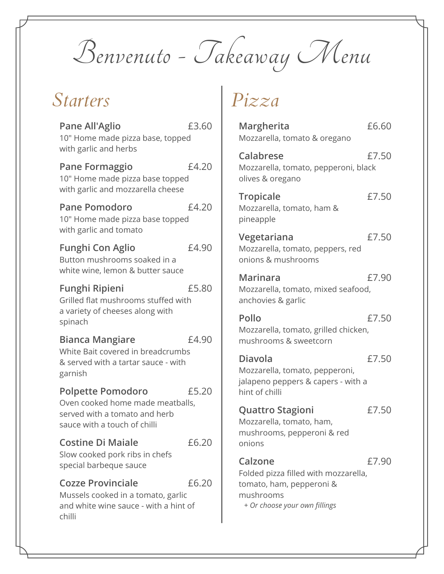Benvenuto - Takeaway Menu

#### *Starters*

| <b>Pane All'Aglio</b><br>10" Home made pizza base, topped<br>with garlic and herbs                                            | £3.60 |
|-------------------------------------------------------------------------------------------------------------------------------|-------|
| <b>Pane Formaggio</b><br>10" Home made pizza base topped<br>with garlic and mozzarella cheese                                 | £4.20 |
| <b>Pane Pomodoro</b><br>10" Home made pizza base topped<br>with garlic and tomato                                             | £4.20 |
| <b>Funghi Con Aglio</b><br>Button mushrooms soaked in a<br>white wine, lemon & butter sauce                                   | £4.90 |
| <b>Funghi Ripieni</b><br>Grilled flat mushrooms stuffed with<br>a variety of cheeses along with<br>spinach                    | £5.80 |
| <b>Bianca Mangiare</b><br>White Bait covered in breadcrumbs<br>& served with a tartar sauce - with<br>garnish                 | £4.90 |
| <b>Polpette Pomodoro</b><br>Oven cooked home made meatballs,<br>served with a tomato and herb<br>sauce with a touch of chilli | £5.20 |
| <b>Costine Di Maiale</b><br>Slow cooked pork ribs in chefs<br>special barbeque sauce                                          | £6.20 |
| <b>Cozze Provinciale</b><br>Mussels cooked in a tomato, garlic<br>and white wine sauce - with a hint of<br>chilli             | £6.20 |

# *Pizza*

| Margherita<br>Mozzarella, tomato & oregano                                                                                | £6.60 |
|---------------------------------------------------------------------------------------------------------------------------|-------|
| <b>Calabrese</b><br>Mozzarella, tomato, pepperoni, black<br>olives & oregano                                              | £7.50 |
| Tropicale<br>Mozzarella, tomato, ham &<br>pineapple                                                                       | £7.50 |
| Vegetariana<br>Mozzarella, tomato, peppers, red<br>onions & mushrooms                                                     | £7.50 |
| <b>Marinara</b><br>Mozzarella, tomato, mixed seafood,<br>anchovies & garlic                                               | £7.90 |
| <b>Pollo</b><br>Mozzarella, tomato, grilled chicken,<br>mushrooms & sweetcorn                                             | £7.50 |
| <b>Diavola</b><br>Mozzarella, tomato, pepperoni,<br>jalapeno peppers & capers - with a<br>hint of chilli                  | £7.50 |
| <b>Quattro Stagioni</b><br>Mozzarella, tomato, ham,<br>mushrooms, pepperoni & red<br>onions                               | £7.50 |
| Calzone<br>Folded pizza filled with mozzarella,<br>tomato, ham, pepperoni &<br>mushrooms<br>+ Or choose your own fillings | £7.90 |